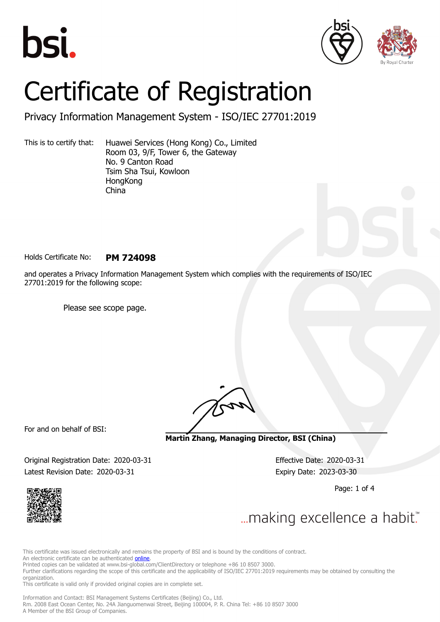





# Certificate of Registration

Privacy Information Management System - ISO/IEC 27701:2019

This is to certify that: Huawei Services (Hong Kong) Co., Limited Room 03, 9/F, Tower 6, the Gateway No. 9 Canton Road Tsim Sha Tsui, Kowloon **HongKong** China

Holds Certificate No: **PM 724098**

and operates a Privacy Information Management System which complies with the requirements of ISO/IEC 27701:2019 for the following scope:

Please see scope page.

For and on behalf of BSI:

**Martin Zhang, Managing Director, BSI (China)**

Original Registration Date: 2020-03-31 Effective Date: 2020-03-31 Latest Revision Date: 2020-03-31 Expiry Date: 2023-03-30

Page: 1 of 4



... making excellence a habit."

This certificate was issued electronically and remains the property of BSI and is bound by the conditions of contract.

An electronic certificate can be authenticated **[online](https://pgplus.bsigroup.com/CertificateValidation/CertificateValidator.aspx?CertificateNumber=PM+724098&ReIssueDate=31%2f03%2f2020&Template=cnen)**.

Printed copies can be validated at www.bsi-global.com/ClientDirectory or telephone +86 10 8507 3000.

Further clarifications regarding the scope of this certificate and the applicability of ISO/IEC 27701:2019 requirements may be obtained by consulting the organization.

This certificate is valid only if provided original copies are in complete set.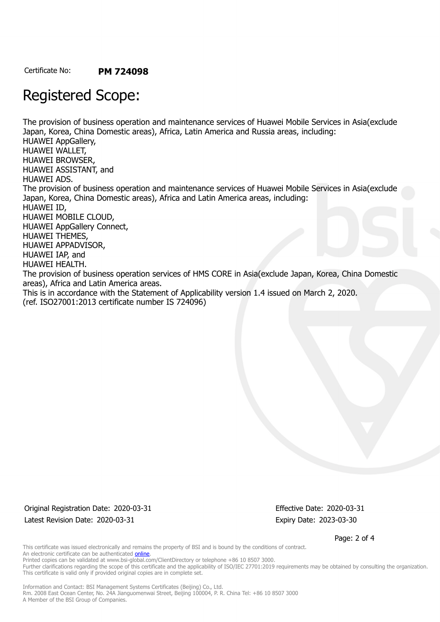Certificate No: **PM 724098**

## Registered Scope:

The provision of business operation and maintenance services of Huawei Mobile Services in Asia(exclude Japan, Korea, China Domestic areas), Africa, Latin America and Russia areas, including: HUAWEI AppGallery, HUAWEI WALLET, HUAWEI BROWSER, HUAWEI ASSISTANT, and HUAWEI ADS. The provision of business operation and maintenance services of Huawei Mobile Services in Asia(exclude Japan, Korea, China Domestic areas), Africa and Latin America areas, including: HUAWEI ID, HUAWEI MOBILE CLOUD, HUAWEI AppGallery Connect, HUAWEI THEMES, HUAWEI APPADVISOR, HUAWEI IAP, and HUAWEI HEALTH. The provision of business operation services of HMS CORE in Asia(exclude Japan, Korea, China Domestic areas), Africa and Latin America areas. This is in accordance with the Statement of Applicability version 1.4 issued on March 2, 2020. (ref. ISO27001:2013 certificate number IS 724096)

Original Registration Date: 2020-03-31 Effective Date: 2020-03-31 Latest Revision Date: 2020-03-31 Expiry Date: 2023-03-30

Page: 2 of 4

This certificate was issued electronically and remains the property of BSI and is bound by the conditions of contract. An electronic certificate can be authenticated **[online](https://pgplus.bsigroup.com/CertificateValidation/CertificateValidator.aspx?CertificateNumber=PM+724098&ReIssueDate=31%2f03%2f2020&Template=cnen)**. Printed copies can be validated at www.bsi-global.com/ClientDirectory or telephone +86 10 8507 3000.

Further clarifications regarding the scope of this certificate and the applicability of ISO/IEC 27701:2019 requirements may be obtained by consulting the organization. This certificate is valid only if provided original copies are in complete set.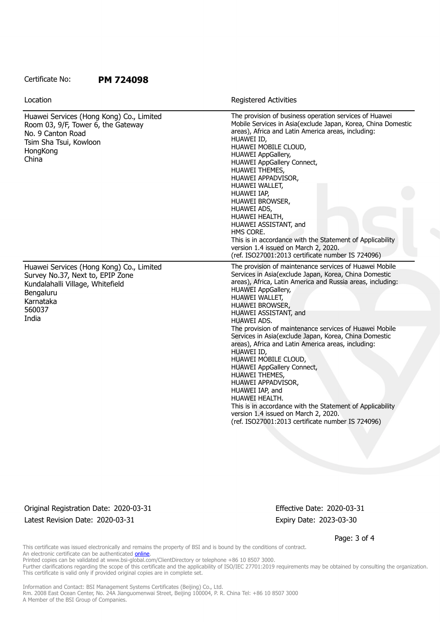#### Certificate No: **PM 724098**

| Location                                                                                                                                                      | <b>Registered Activities</b>                                                                                                                                                                                                                                                                                                                                                                                                                                                                                                                                                                               |
|---------------------------------------------------------------------------------------------------------------------------------------------------------------|------------------------------------------------------------------------------------------------------------------------------------------------------------------------------------------------------------------------------------------------------------------------------------------------------------------------------------------------------------------------------------------------------------------------------------------------------------------------------------------------------------------------------------------------------------------------------------------------------------|
| Huawei Services (Hong Kong) Co., Limited<br>Room 03, 9/F, Tower 6, the Gateway<br>No. 9 Canton Road<br>Tsim Sha Tsui, Kowloon<br>HongKong<br>China            | The provision of business operation services of Huawei<br>Mobile Services in Asia(exclude Japan, Korea, China Domestic<br>areas), Africa and Latin America areas, including:<br>HUAWEI ID,<br>HUAWEI MOBILE CLOUD,<br><b>HUAWEI AppGallery,</b><br>HUAWEI AppGallery Connect,<br>HUAWEI THEMES,<br>HUAWEI APPADVISOR,<br>HUAWEI WALLET,<br>HUAWEI IAP,<br>HUAWEI BROWSER,<br>HUAWEI ADS,<br>HUAWEI HEALTH,<br>HUAWEI ASSISTANT, and<br>HMS CORE.<br>This is in accordance with the Statement of Applicability<br>version 1.4 issued on March 2, 2020.<br>(ref. ISO27001:2013 certificate number IS 724096) |
| Huawei Services (Hong Kong) Co., Limited<br>Survey No.37, Next to, EPIP Zone<br>Kundalahalli Village, Whitefield<br>Bengaluru<br>Karnataka<br>560037<br>India | The provision of maintenance services of Huawei Mobile<br>Services in Asia(exclude Japan, Korea, China Domestic<br>areas), Africa, Latin America and Russia areas, including:<br>HUAWEI AppGallery,<br>HUAWEI WALLET,<br>HUAWEI BROWSER,<br>HUAWEI ASSISTANT, and<br><b>HUAWEI ADS.</b>                                                                                                                                                                                                                                                                                                                    |
|                                                                                                                                                               | The provision of maintenance services of Huawei Mobile<br>Services in Asia(exclude Japan, Korea, China Domestic<br>areas), Africa and Latin America areas, including:<br>HUAWEI ID,<br>HUAWEI MOBILE CLOUD,<br><b>HUAWEI AppGallery Connect,</b><br>HUAWEI THEMES,<br>HUAWEI APPADVISOR,<br>HUAWEI IAP, and<br>HUAWEI HEALTH.<br>This is in accordance with the Statement of Applicability<br>version 1.4 issued on March 2, 2020.<br>(ref. ISO27001:2013 certificate number IS 724096)                                                                                                                    |

Original Registration Date: 2020-03-31 Effective Date: 2020-03-31 Latest Revision Date: 2020-03-31 Expiry Date: 2023-03-30

Page: 3 of 4

This certificate was issued electronically and remains the property of BSI and is bound by the conditions of contract. An electronic certificate can be authenticated [online](https://pgplus.bsigroup.com/CertificateValidation/CertificateValidator.aspx?CertificateNumber=PM+724098&ReIssueDate=31%2f03%2f2020&Template=cnen).

Printed copies can be validated at www.bsi-global.com/ClientDirectory or telephone +86 10 8507 3000.

Further clarifications regarding the scope of this certificate and the applicability of ISO/IEC 27701:2019 requirements may be obtained by consulting the organization. This certificate is valid only if provided original copies are in complete set.